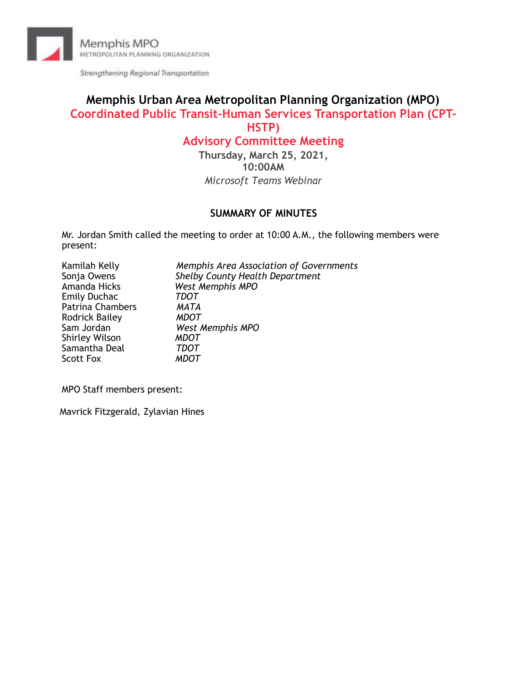

Strengthening Regional Transportation

# **Memphis Urban Area Metropolitan Planning Organization (MPO) Coordinated Public Transit-Human Services Transportation Plan (CPT-HSTP)**

# **Advisory Committee Meeting**

**Thursday, March 25, 2021, 10:00AM**  *Microsoft Teams Webinar*

### **SUMMARY OF MINUTES**

Mr. Jordan Smith called the meeting to order at 10:00 A.M., the following members were present:

| Memphis Area Association of Governments |
|-----------------------------------------|
| <b>Shelby County Health Department</b>  |
| West Memphis MPO                        |
| TDOT                                    |
| MATA                                    |
| MDOT                                    |
| West Memphis MPO                        |
| <b>MDOT</b>                             |
| TDOT                                    |
| MDOT                                    |
|                                         |

MPO Staff members present:

Mavrick Fitzgerald, Zylavian Hines